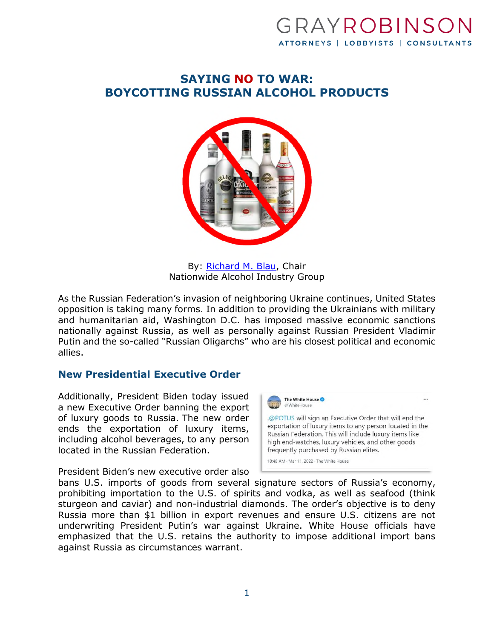# GRAYROBINSC ATTORNEYS | LOBBYISTS | CONSULTANTS

## **SAYING NO TO WAR: BOYCOTTING RUSSIAN ALCOHOL PRODUCTS**



By: [Richard M. Blau](https://www.gray-robinson.com/attorneys-professionals/richard-m-blau), Chair Nationwide Alcohol Industry Group

As the Russian Federation's invasion of neighboring Ukraine continues, United States opposition is taking many forms. In addition to providing the Ukrainians with military and humanitarian aid, Washington D.C. has imposed massive economic sanctions nationally against Russia, as well as personally against Russian President Vladimir Putin and the so-called "Russian Oligarchs" who are his closest political and economic allies.

#### **New Presidential Executive Order**

Additionally, President Biden today issued a new Executive Order banning the export of luxury goods to Russia. The new order ends the exportation of luxury items, including alcohol beverages, to any person located in the Russian Federation.

President Biden's new executive order also



bans U.S. imports of goods from several signature sectors of Russia's economy, prohibiting importation to the U.S. of spirits and vodka, as well as seafood (think sturgeon and caviar) and non-industrial diamonds. The order's objective is to deny Russia more than \$1 billion in export revenues and ensure U.S. citizens are not underwriting President Putin's war against Ukraine. White House officials have emphasized that the U.S. retains the authority to impose additional import bans against Russia as circumstances warrant.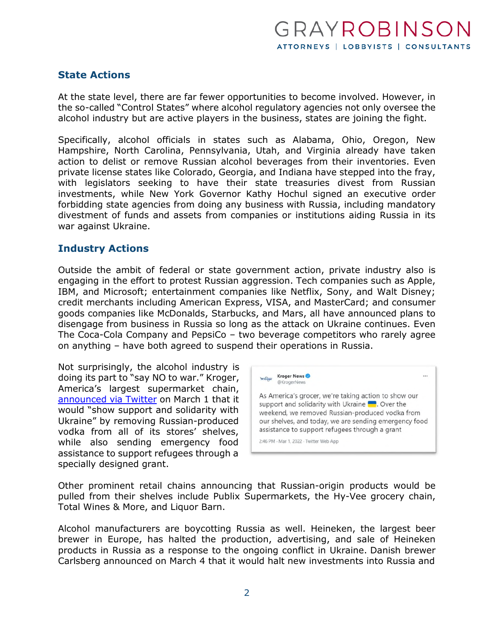### **State Actions**

At the state level, there are far fewer opportunities to become involved. However, in the so-called "Control States" where alcohol regulatory agencies not only oversee the alcohol industry but are active players in the business, states are joining the fight.

Specifically, alcohol officials in states such as Alabama, Ohio, Oregon, New Hampshire, North Carolina, Pennsylvania, Utah, and Virginia already have taken action to delist or remove Russian alcohol beverages from their inventories. Even private license states like Colorado, Georgia, and Indiana have stepped into the fray, with legislators seeking to have their state treasuries divest from Russian investments, while New York Governor Kathy Hochul signed an executive order forbidding state agencies from doing any business with Russia, including mandatory divestment of funds and assets from companies or institutions aiding Russia in its war against Ukraine.

#### **Industry Actions**

Outside the ambit of federal or state government action, private industry also is engaging in the effort to protest Russian aggression. Tech companies such as Apple, IBM, and Microsoft; entertainment companies like Netflix, Sony, and Walt Disney; credit merchants including American Express, VISA, and MasterCard; and consumer goods companies like McDonalds, Starbucks, and Mars, all have announced plans to disengage from business in Russia so long as the attack on Ukraine continues. Even The Coca-Cola Company and PepsiCo – two beverage competitors who rarely agree on anything – have both agreed to suspend their operations in Russia.

Not surprisingly, the alcohol industry is doing its part to "say NO to war." Kroger, America's largest supermarket chain, [announced via Twitter](https://twitter.com/KrogerNews/status/1498746411785109513?ref_src=twsrc%5Etfw%7Ctwcamp%5Etweetembed%7Ctwterm%5E1498746411785109513%7Ctwgr%5E%7Ctwcon%5Es1_&ref_url=https%3A%2F%2Fwww.kentucky.com%2Fnews%2Fstate%2Fkentucky%2Farticle258976483.html) on March 1 that it would "show support and solidarity with Ukraine" by removing Russian-produced vodka from all of its stores' shelves, while also sending emergency food assistance to support refugees through a specially designed grant.



Other prominent retail chains announcing that Russian-origin products would be pulled from their shelves include Publix Supermarkets, the Hy-Vee grocery chain, Total Wines & More, and Liquor Barn.

Alcohol manufacturers are boycotting Russia as well. Heineken, the largest beer brewer in Europe, has halted the production, advertising, and sale of Heineken products in Russia as a response to the ongoing conflict in Ukraine. Danish brewer Carlsberg announced on March 4 that it would halt new investments into Russia and